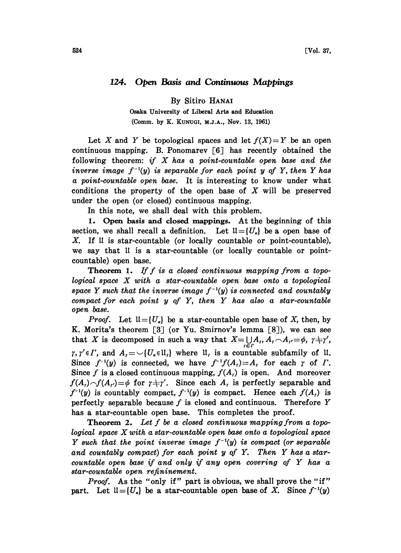## 124. Open Basis and Continuous Mappings

By Sitiro HANAI

Osaka University of Liberal Arts and Education (Comm. by K. KuNuGI, M.J.A., Nov. 13, 1961)

Let X and Y be topological spaces and let  $f(X)=Y$  be an open continuous mapping. B. Ponomarev  $\lceil 6 \rceil$  has recently obtained the following theorem: if  $X$  has a point-countable open base and the inverse image  $f^{-1}(y)$  is separable for each point y of Y, then Y has a point-countable open base. It is interesting to know under what conditions the property of the open base of  $X$  will be preserved under the open (or closed) continuous mapping.

In this note, we shall deal with this problem.

1. Open basis and closed mappings. At the beginning of this section, we shall recall a definition. Let  $\mathfrak{U}=\{U_a\}$  be a open base of  $X$ . If  $\mathfrak U$  is star-countable (or locally countable or point-countable), we say that 1I is a star-countable (or locally countable or pointcountable) open base.

**Theorem 1.** If f is a closed continuous mapping from a topological space X with <sup>a</sup> star-countable open base onto <sup>a</sup> topological space Y such that the inverse image  $f^{-1}(y)$  is connected and countably compact for each point  $y$  of  $Y$ , then  $Y$  has also a star-countable open base.

*Proof.* Let  $\mathfrak{U} = \{U_{\alpha}\}\$ be a star-countable open base of X, then, by K. Morita's theorem  $[3]$  (or Yu. Smirnov's lemma  $[8]$ ), we can see that X is decomposed in such a way that  $X=\bigcup_{r\in\Gamma}A_r,A_r\cap A_{r'}=\phi, r+r',$  $\gamma, \gamma' \in \Gamma$ , and  $A_{\tau} = \cup \{U_{\tau} \in \mathfrak{U}_{\tau}\}$  where  $\mathfrak{U}_{\tau}$  is a countable subfamily of  $\mathfrak{U}_{\tau}$ . Since  $f^{-1}(y)$  is connected, we have  $f^{-1}f(A_r)=A_r$  for each  $\gamma$  of  $\Gamma$ . Since f is a closed continuous mapping,  $f(A<sub>r</sub>)$  is open. And moreover  $f(A_r) \frown f(A_{r'}) = \phi$  for  $r + r'$ . Since each  $A_r$  is perfectly separable and  $f^{-1}(y)$  is countably compact,  $f^{-1}(y)$  is compact. Hence each  $f(A<sub>r</sub>)$  is perfectly separable because  $f$  is closed and continuous. Therefore  $Y$ has a star-countable open base. This completes the proof.

Theorem 2. Let f be a closed continuous mapping from a topological space Xwith <sup>a</sup> star-countable open base onto <sup>a</sup> topological space Y such that the point inverse image  $f^{-1}(y)$  is compact (or separable and countably compact) for each point  $y$  of  $Y$ . Then  $Y$  has a starcountable open base if and only if any open covering of Y has <sup>a</sup> star-countable open refininement.

Proof. As the "only if" part is obvious, we shall prove the "if" part. Let  $\mathfrak{U}=\{U_{\alpha}\}\$ be a star-countable open base of X. Since  $f^{-1}(y)$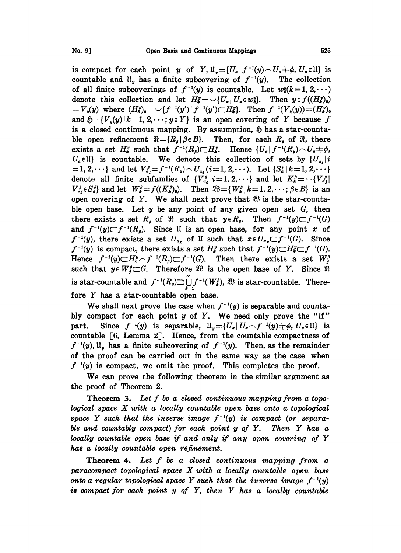is compact for each point y of Y,  $\mathfrak{U}_r = {U_r | f^{-1}(y) \cap U_s \neq \phi, U_s \in \mathfrak{U}}$  is countable and  $\mathfrak{U}_v$  has a finite subcovering of  $f^{-1}(y)$ . The collection of all finite subcoverings of  $f^{-1}(y)$  is countable. Let  $w_k^y(k=1, 2, \dots)$ denote this collection and let  $H^y_k = \bigcup \{U_\alpha | U_\alpha \in w_k^y\}.$  Then  $y \in f((H^y_k)_0)$  $V_k(y)$  where  $(H_k^y)_{0} = \bigcup \{f^{-1}(y') \mid f^{-1}(y') \subset H_k^y\}.$  Then  $f^{-1}(V_k(y)) = (H_k^y)_{0}$ and  $\mathfrak{H} = \{V_k(y) | k=1, 2, \dots; y \in Y\}$  is an open covering of Y because f is a closed continuous mapping. By assumption,  $\tilde{p}$  has a star-countable open refinement  $\Re = \{R_s | \beta \in B\}$ . Then, for each  $R_s$  of  $\Re$ , there exists a set  $H_k^v$  such that  $f^{-1}(R_\beta)\subset H_k^v$ . Hence  $\{U_\alpha\mid f^{-1}(R_\beta)\sim U_\alpha+\phi,$  $U_{\alpha}$ (l) is countable. We denote this collection of sets by  $\{U_{\alpha_i}\}\mathbf{i}$  $-1,2,\cdots\}$  and let  $V_{a_i}^{\beta}=f^{-1}(R_{\beta})\frown U_{a_i}$  (i=1, 2,...). Let  $\{S_k^{\beta} | k=1,2,\cdots\}$ denote all finite subfamilies of  $\{V_{a_i}^{\beta} | i=1, 2, \cdots\}$  and let  $K_{b}^{\beta} = \bigcup \{V_{a_i}^{\beta} | i=1, 2, \cdots\}$  $V_{a_1}^{\beta} \in S_k^{\beta}$  and let  $W_k^{\beta} = f((K_k^{\beta})_0)$ . Then  $\mathfrak{B} = \{W_k^{\beta} | k=1, 2, \cdots; \beta \in B\}$  is an open covering of Y. We shall next prove that  $\mathfrak{B}$  is the star-countable open base. Let  $y$  be any point of any given open set  $G$ , then there exists a set  $R_s$  of  $\Re$  such that  $y \in R_s$ . Then  $f^{-1}(y) \subset f^{-1}(G)$ and  $f^{-1}(y) \subset f^{-1}(R_\beta)$ . Since II is an open base, for any point x of  $f^{-1}(y)$ , there exists a set  $U_{\alpha_x}$  of U such that  $x \in U_{\alpha_x} \subset f^{-1}(G)$ . Since  $f^{-1}(y)$  is compact, there exists a set  $H_k^y$  such that  $f^{-1}(y) \subset H_k^y \subset f^{-1}(G)$ . Hence  $f^{-1}(y) \subset H^y$   $\cap$   $f^{-1}(R) \subset f^{-1}(G)$ . Then there exists a set  $W^y$ . such that  $y \in W_i^p \subset G$ . Therefore  $\mathfrak{B}$  is the open base of Y. Since  $\mathfrak{R}$ is star-countable and  $f^{-1}(R_{\beta}) \supset \bigcup_{k=1}^{\infty} f^{-1}(W_k^{\beta})$ ,  $\mathfrak{B}$  is star-countable. There-<br>fore Y has a star-countable open base.<br>We shall next prove the case when  $f^{-1}(y)$  is separable and countafore Y has <sup>a</sup> star-countable open base.

We shall next prove the case when  $f^{-1}(y)$  is separable and countably compact for each point  $y$  of  $Y$ . We need only prove the "if" part. Since  $f^{-1}(y)$  is separable,  $\mathfrak{U}_y = \{U_\alpha | U_\alpha \cap f^{-1}(y) \neq \emptyset, U_\alpha \in \mathfrak{U}\}\$ is countable [6, Lemma 2]. Hence, from the countable compactness of  $f^{-1}(y)$ ,  $\mathfrak{U}_y$  has a finite subcovering of  $f^{-1}(y)$ . Then, as the remainder of the proof can be carried out in the same way as the case when  $f^{-1}(y)$  is compact, we omit the proof. This completes the proof.

We can prove the following theorem in the similar argument as the proof of Theorem 2.

Theorem 3. Let f be a closed continuous mapping from a topological space X with <sup>a</sup> locally countable open base onto <sup>a</sup> topological space Y such that the inverse image  $f^{-1}(y)$  is compact (or separable and countably compact) for each point  $y$  of  $Y$ . Then  $Y$  has a locally countable open base if and only if any open covering of Y has a locally countable open refinement.

**Theorem 4.** Let  $f$  be a closed continuous mapping from a paracompact topological space X with <sup>a</sup> locally countable open base onto a regular topological space Y such that the inverse image  $f^{-1}(y)$ is compact for each point  $y$  of  $Y$ , then  $Y$  has a locally countable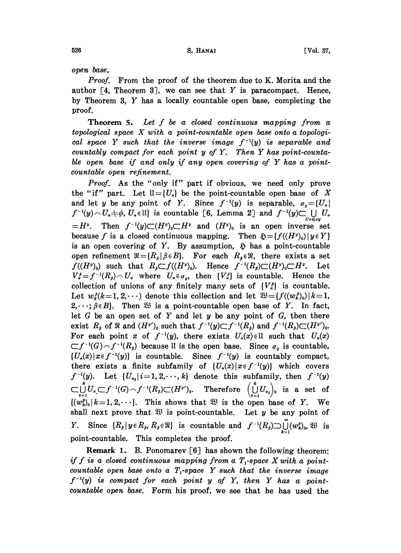open base.

Proof. From the proof of the theorem due to K. Morita and the author  $\lceil 4$ , Theorem 3, we can see that Y is paracompact. Hence, by Theorem 3, Y has <sup>a</sup> locally countable open base, completing the proof.

**Theorem 5.** Let  $f$  be a closed continuous mapping from a topological space  $X$  with a point-countable open base onto a topological space Y such that the inverse image  $f^{-1}(y)$  is separable and countably compact for each point <sup>y</sup> of Y. Then Y has point-countable open base if and only if any open covering of Y has <sup>a</sup> pointcountable open refinement.

Proof. As the "only if" part if obvious, we need only prove the "if" part. Let  $\mathfrak{U}=\{U_a\}$  be the point-countable open base of X and let y be any point of Y. Since  $f^{-1}(y)$  is separable,  $\sigma_y = \{U_\alpha\}$  $f^{-1}(y) \sim U_a + \phi$ ,  $U_a \in \mathbb{U}$  is countable [6, Lemma 2] and  $f^{-1}(y) \subset \bigcup_{\alpha} U_a$  $=H^{\nu}$ . Then  $f^{-1}(y)\subset (H^{\nu})_0\subset H^{\nu}$  and  $(H^{\nu})_0$  is an open inverse set because f is a closed continuous mapping. Then  $\mathfrak{H} = \{f((H^v)_0) | y \in Y\}$ is an open covering of Y. By assumption,  $\tilde{y}$  has a point-countable open refinement  $\Re = \{R_{\beta} | \beta \in B\}$ . For each  $R_{\beta} \in \Re$ , there exists a set  $f((H^v)_0)$  such that  $R_i \subset f((H^v)_0)$ . Hence  $f^{-1}(R_i) \subset (H^v)_0 \subset H^v$ . Let  $V_{\alpha}^{\beta} = f^{-1}(R_{\beta}) \cap U_{\alpha}$  where  $U_{\alpha} \in \sigma_{\alpha}$ , then  $\{V_{\alpha}^{\beta}\}$  is countable. Hence the collection of unions of any finitely many sets of  $\{V_a^{\beta}\}\$ is countable. Let  $w_k^{\ell}(k=1, 2, \dots)$  denote this collection and let  $\mathfrak{B} = \{f((w_k^{\ell})_0) | k=1, \dots, k\}$  $2, \dots, \beta \in B$ . Then  $\mathfrak{B}$  is a point-countable open base of Y. In fact, let  $G$  be an open set of  $Y$  and let  $y$  be any point of  $G$ , then there exist  $R_\rho$  of  $\Re$  and  $(H^{\nu})_0$  such that  $f^{-1}(y)\subset f^{-1}(R_\rho)$  and  $f^{-1}(R_\rho)\subset (H^{\nu})_0$ . For each point x of  $f^{-1}(y)$ , there exists  $U_a(x) \in \mathbb{U}$  such that  $U_a(x)$  $\subset f^{-1}(G) \frown f^{-1}(R_{\beta})$  because ll is the open base. Since  $\sigma_{\gamma}$  is countable,  ${U_a(x)|x \in f^{-1}(y)}$  is countable. Since  $f^{-1}(y)$  is countably compact, there exists a finite subfamily of  $\{U_a(x) | x \in f^{-1}(y)\}$  which covers  $f^{-1}(y)$ . Let  $\{U_{a_i} | i=1, 2, \cdots, k\}$  denote this subfamily, then  $f^{-1}(y)$  $\subset \bigcup_{i=1}^n U_{\alpha}\subset \subset f^{-1}(G)\frown f^{-1}(R_{\rho})\subset (H^{y'})_0. \quad \text{Therefore } \left(\bigcup_{i=1}^n U_{\alpha_i}\right)_0 \text{ is a set of }$  $\{(w_k^{\rho})_0 | k=1, 2, \dots\}$ . This shows that  $\mathfrak{B}$  is the open base of Y. We shall next prove that  $\mathfrak{B}$  is point-countable. Let y be any point of Y. Since  $\{R_\beta | y \in R_\beta, R_\beta \in \mathbb{R} \}$  is countable and  $f^{-1}(R_\beta) \supset \bigcup_{k=1}^\infty (w_k^{\beta})_0$ ,  $\mathbb{R}$  is point-countable. This completes the proof.

Remark 1. B. Ponomarev [6] has shown the following theorem: if f is a closed continuous mapping from a  $T_1$ -space X with a pointcountable open base onto a  $T_1$ -space Y such that the inverse image  $f^{-1}(y)$  is compact for each point y of Y, then Y has a pointcountable open base. Form his proof, we see that he has used the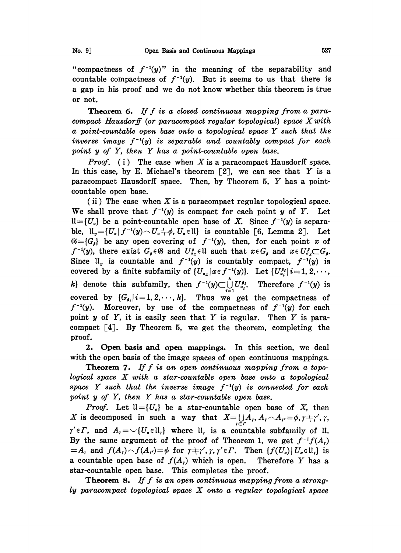"compactness of  $f^{-1}(y)$ " in the meaning of the separability and countable compactness of  $f^{-1}(y)$ . But it seems to us that there is a gap in his proof and we do not know whether this theorem is true or not.

**Theorem 6.** If  $f$  is a closed continuous mapping from a paracompact Hausdorff (or paracompact regular topological) space Xwith a point-countable open base onto <sup>a</sup> topological space Y such that the inverse image  $f^{-1}(y)$  is separable and countably compact for each point y of Y, then Y has a point-countable open base.

*Proof.* (i) The case when X is a paracompact Hausdorff space. In this case, by E. Michael's theorem  $[2]$ , we can see that Y is a paracompact Hausdorff space. Then, by Theorem 5, Y has <sup>a</sup> pointcountable open base.

(ii) The case when X is a paracompact regular topological space. We shall prove that  $f^{-1}(y)$  is compact for each point y of Y. Let  $ll = \{U_{\alpha}\}\$ be a point-countable open base of X. Since  $f^{-1}(y)$  is separable,  $\mathfrak{U}_y = \{U_a | f^{-1}(y) \cap U_a \neq \emptyset, U_a \in \mathfrak{U} \}$  is countable [6, Lemma 2]. Let  $\mathfrak{G} = \{G_{\beta}\}\$ be any open covering of  $f^{-1}(y)$ , then, for each point x of  $f^{-1}(y)$ , there exist  $G_{\beta} \in \mathfrak{G}$  and  $U_{\alpha_x}^{\beta} \in \mathfrak{U}$  such that  $x \in G_{\beta}$  and  $x \in U_{\alpha_x}^{\beta} \subset G_{\beta}$ . Since  $\mathfrak{u}_v$  is countable and  $f^{-1}(y)$  is countably compact,  $f^{-1}(y)$  is covered by a finite subfamily of  $\{U_{\alpha_x} | x \in f^{-1}(y)\}$ . Let  $\{U_{\alpha_i}^{\beta_i} | i=1, 2, \cdots\}$ k} denote this subfamily, then  $f^{-1}(y) \subset \bigcup_{i=1} U_{a_i}^{\beta_i}$ . Therefore  $f^{-1}(y)$  is covered by  $\{G_{\beta_i} | i=1, 2, \dots, k\}$ . Thus we get the compactness of  $f^{-1}(y)$ . Moreover, by use of the compactness of  $f^{-1}(y)$  for each point  $y$  of  $Y$ , it is easily seen that  $Y$  is regular. Then  $Y$  is paracompact  $\lceil 4 \rceil$ . By Theorem 5, we get the theorem, completing the proof.

2. Open basis and open mappings. In this section, we deal with the open basis of the image spaces of open continuous mappings.

Theorem 7. If f is an open continuous mapping from a topological space X with <sup>a</sup> star-countable open base onto <sup>a</sup> topological space Y such that the inverse image  $f^{-1}(y)$  is connected for each point y of Y, then Y has a star-countable open base.

*Proof.* Let  $\mathfrak{U} = \{U_a\}$  be a star-countable open base of X, then X is decomposed in such a way that  $X = \bigcup_{r \in r} A_r, A_r \cap A_{r'} = \phi, \gamma \neq \gamma', \gamma,$ By the same argument of the proof of Theorem 1, we get  $f^{-1}f(A)$  $\gamma' \in \Gamma$ , and  $A_t = \cup \{U_{\alpha} \in \mathfrak{U}_t\}$  where  $\mathfrak{U}_t$  is a countable subfamily of  $\mathfrak{U}_t$ .  $=A_t$  and  $f(A_t) \frown(A_{t'}) = \phi$  for  $\tau \neq \gamma', \gamma, \gamma' \in \Gamma$ . Then  $\{f(U_{\alpha}) | U_{\alpha} \in \mathfrak{U}_t\}$  is a countable open base of  $f(A_r)$  which is open. Therefore Y has a star-countable open base. This completes the proof.

**Theorem 8.** If f is an open continuous mapping from a strongly paracompact topological space X onto <sup>a</sup> regular topological space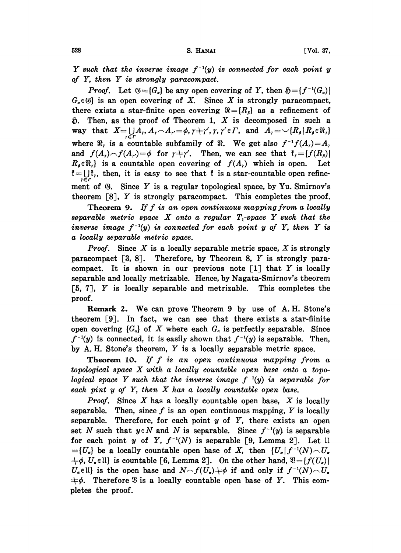Y such that the inverse image  $f^{-1}(y)$  is connected for each point y of Y, then Y is strongly paracompact.

*Proof.* Let  $\mathfrak{G} = \{G_{\alpha}\}\$ be any open covering of Y, then  $\mathfrak{H} = \{f^{-1}(G_{\alpha})\}\$  $G_{\alpha} \in \mathcal{G}$  is an open covering of X. Since X is strongly paracompact, there exists a star-finite open covering  $\Re = \{R_{\beta}\}\$ as a refinement of  $\mathfrak{D}$ . Then, as the proof of Theorem 1, X is decomposed in such a way that  $X=\bigcup_{r\in\mathcal{F}}A_r,A_r\cap A_{r'}=\phi,\gamma+\gamma',\gamma,\gamma'\in\mathcal{F}$ , and  $A_r=\bigcup\{R_\beta\mid R_\beta\in\mathfrak{R}_r\}$ where  $\Re_t$  is a countable subfamily of  $\Re$ . We get also  $f^{-1}f(A_t)=A_t$ and  $f(A_r) \frown (A_{r'}) = \phi$  for  $r + \gamma'$ . Then, we can see that  $f_r = {f(R_s)}$  $R_{\beta} \in \mathbb{R}_{r}$  is a countable open covering of  $f(A_{r})$  which is open. Let  $t = \bigcup_{i=1}^{n} t_i$ , then, it is easy to see that  $t$  is a star-countable open refinement of  $\mathfrak{G}$ . Since Y is a regular topological space, by Yu. Smirnov's theorem  $[8]$ , Y is strongly paracompact. This completes the proof.

**Theorem 9.** If  $f$  is an open continuous mapping from a locally separable metric space  $X$  onto a regular  $T<sub>1</sub>$ -space  $Y$  such that the inverse image  $f^{-1}(y)$  is connected for each point y of Y, then Y is a locally separable metric space.

**Proof.** Since X is a locally separable metric space, X is strongly paracompact [3, 8]. Therefore, by Theorem 8, Y is strongly paracompact. It is shown in our previous note  $\lceil 1 \rceil$  that Y is locally separable and locally metrizable. Hence, by Nagata-Smirnov's theorem [5, 7J, Y is locally separable and metrizable. This completes the proof.

Remark 2. We can prove Theorem <sup>9</sup> by use of A.H. Stone's theorem  $[9]$ . In fact, we can see that there exists a star-fiinite open covering  ${G<sub>a</sub>}$  of X where each  $G<sub>a</sub>$  is perfectly separable. Since  $f^{-1}(y)$  is connected, it is easily shown that  $f^{-1}(y)$  is separable. Then, by A.H. Stone's theorem, Y is <sup>a</sup> locally separable metric space.

Theorem 10. If  $f$  is an open continuous mapping from a topological space X with <sup>a</sup> locally countable open base onto <sup>a</sup> topological space Y such that the inverse image  $f^{-1}(y)$  is separable for each pint  $y$  of  $Y$ , then  $X$  has a locally countable open base.

**Proof.** Since  $X$  has a locally countable open base,  $X$  is locally separable. Then, since f is an open continuous mapping, Y is locally separable. Therefore, for each point  $y$  of  $Y$ , there exists an open set N such that  $y \in N$  and N is separable. Since  $f^{-1}(y)$  is separable for each point y of Y,  $f^{-1}(N)$  is separable [9, Lemma 2]. Let ll  $=$ [U<sub>a</sub>] be a locally countable open base of X, then  $\{U_a | f^{-1}(N) \cap U_a\}$  $\{\phi, U_{\alpha} \in \mathbb{N}\}\$ is countable [6, Lemma 2]. On the other hand,  $\mathfrak{B} = \{f(U_{\alpha})\}$  $U_{\alpha} \in \mathbb{U}$  is the open base and  $N \cap f(U_{\alpha}) \neq \emptyset$  if and only if  $f^{-1}(N) \cap U_{\alpha}$  $\pm \phi$ . Therefore  $\mathfrak{B}$  is a locally countable open base of Y. This completes the proof.